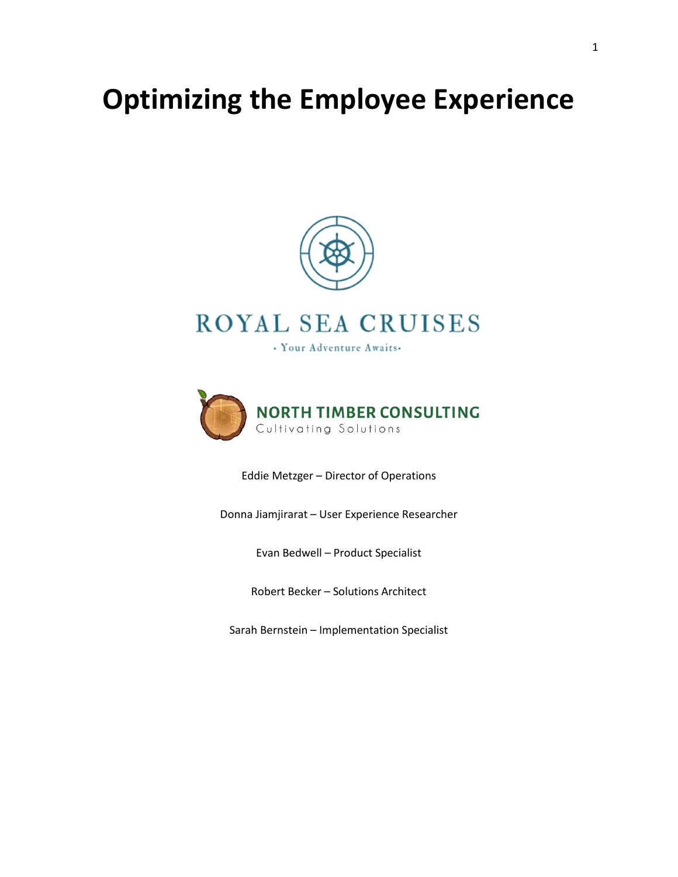# **Optimizing the Employee Experience**



# ROYAL SEA CRUISES

· Your Adventure Awaits.



Eddie Metzger – Director of Operations

Donna Jiamjirarat – User Experience Researcher

Evan Bedwell – Product Specialist

Robert Becker – Solutions Architect

Sarah Bernstein – Implementation Specialist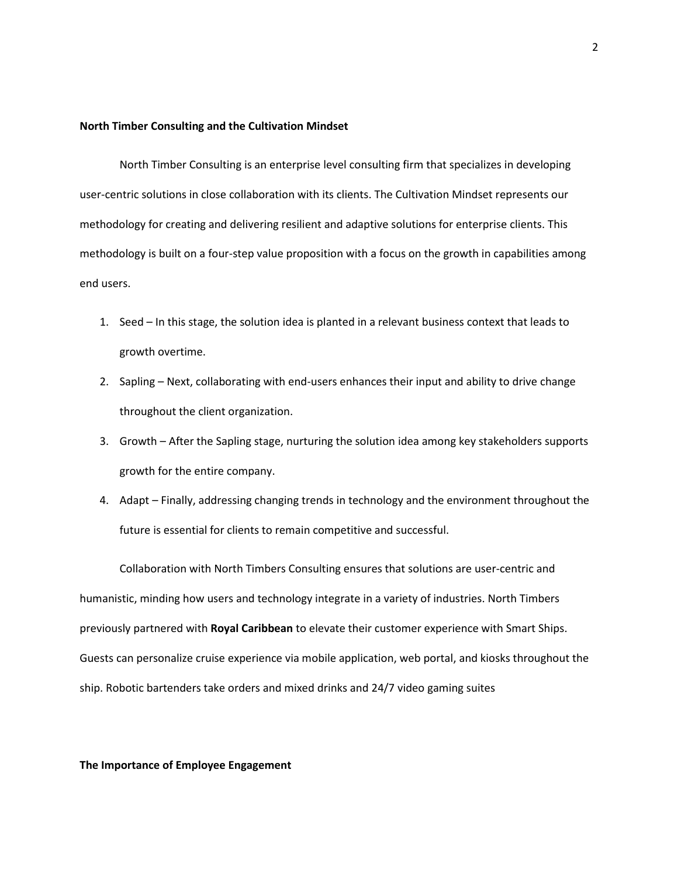#### **North Timber Consulting and the Cultivation Mindset**

North Timber Consulting is an enterprise level consulting firm that specializes in developing user-centric solutions in close collaboration with its clients. The Cultivation Mindset represents our methodology for creating and delivering resilient and adaptive solutions for enterprise clients. This methodology is built on a four-step value proposition with a focus on the growth in capabilities among end users.

- 1. Seed In this stage, the solution idea is planted in a relevant business context that leads to growth overtime.
- 2. Sapling Next, collaborating with end-users enhances their input and ability to drive change throughout the client organization.
- 3. Growth After the Sapling stage, nurturing the solution idea among key stakeholders supports growth for the entire company.
- 4. Adapt Finally, addressing changing trends in technology and the environment throughout the future is essential for clients to remain competitive and successful.

Collaboration with North Timbers Consulting ensures that solutions are user-centric and humanistic, minding how users and technology integrate in a variety of industries. North Timbers previously partnered with **Royal Caribbean** to elevate their customer experience with Smart Ships. Guests can personalize cruise experience via mobile application, web portal, and kiosks throughout the ship. Robotic bartenders take orders and mixed drinks and 24/7 video gaming suites

#### **The Importance of Employee Engagement**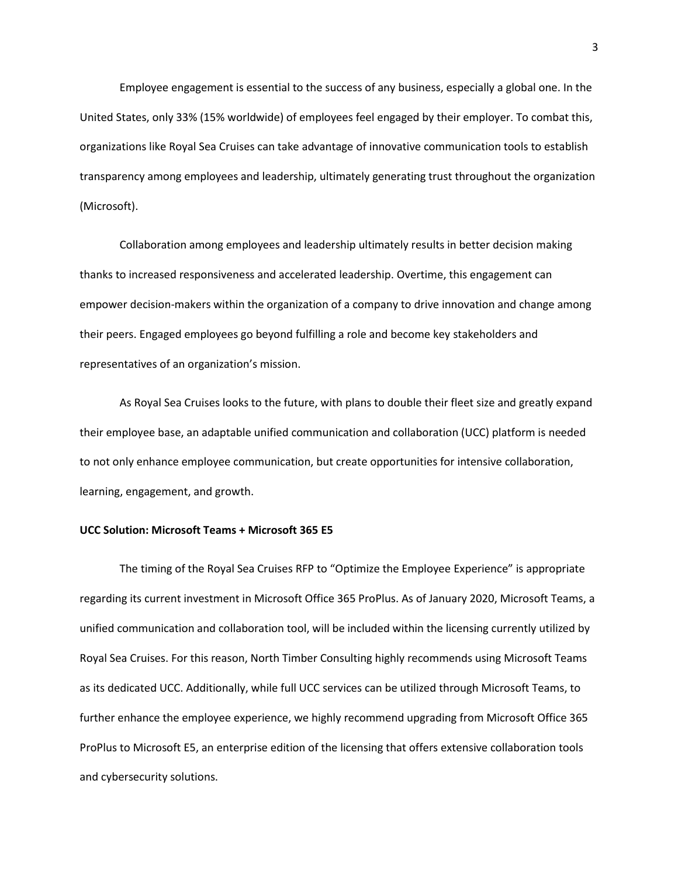Employee engagement is essential to the success of any business, especially a global one. In the United States, only 33% (15% worldwide) of employees feel engaged by their employer. To combat this, organizations like Royal Sea Cruises can take advantage of innovative communication tools to establish transparency among employees and leadership, ultimately generating trust throughout the organization (Microsoft).

Collaboration among employees and leadership ultimately results in better decision making thanks to increased responsiveness and accelerated leadership. Overtime, this engagement can empower decision-makers within the organization of a company to drive innovation and change among their peers. Engaged employees go beyond fulfilling a role and become key stakeholders and representatives of an organization's mission.

As Royal Sea Cruises looks to the future, with plans to double their fleet size and greatly expand their employee base, an adaptable unified communication and collaboration (UCC) platform is needed to not only enhance employee communication, but create opportunities for intensive collaboration, learning, engagement, and growth.

### **UCC Solution: Microsoft Teams + Microsoft 365 E5**

The timing of the Royal Sea Cruises RFP to "Optimize the Employee Experience" is appropriate regarding its current investment in Microsoft Office 365 ProPlus. As of January 2020, Microsoft Teams, a unified communication and collaboration tool, will be included within the licensing currently utilized by Royal Sea Cruises. For this reason, North Timber Consulting highly recommends using Microsoft Teams as its dedicated UCC. Additionally, while full UCC services can be utilized through Microsoft Teams, to further enhance the employee experience, we highly recommend upgrading from Microsoft Office 365 ProPlus to Microsoft E5, an enterprise edition of the licensing that offers extensive collaboration tools and cybersecurity solutions.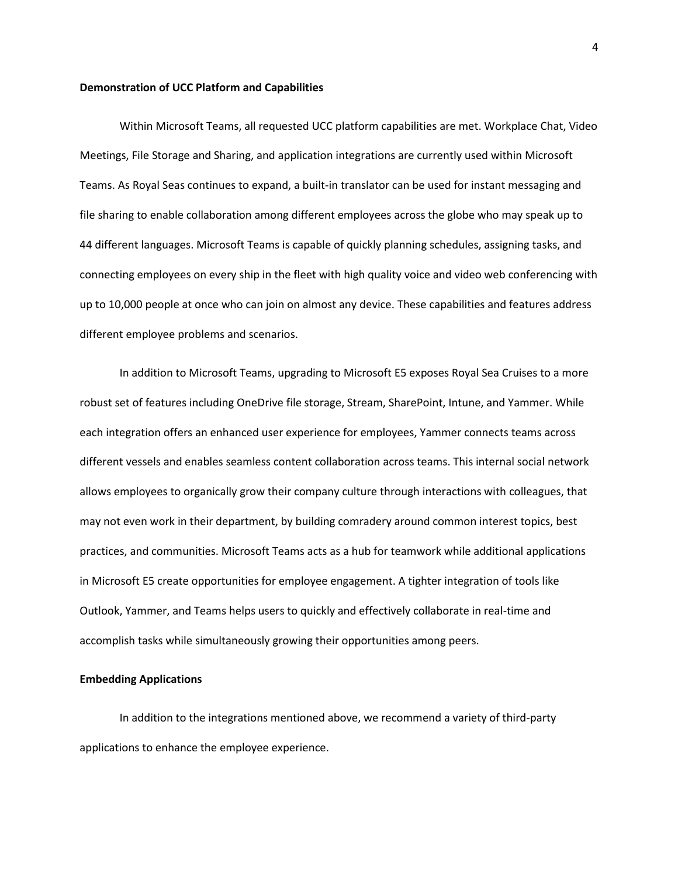#### **Demonstration of UCC Platform and Capabilities**

Within Microsoft Teams, all requested UCC platform capabilities are met. Workplace Chat, Video Meetings, File Storage and Sharing, and application integrations are currently used within Microsoft Teams. As Royal Seas continues to expand, a built-in translator can be used for instant messaging and file sharing to enable collaboration among different employees across the globe who may speak up to 44 different languages. Microsoft Teams is capable of quickly planning schedules, assigning tasks, and connecting employees on every ship in the fleet with high quality voice and video web conferencing with up to 10,000 people at once who can join on almost any device. These capabilities and features address different employee problems and scenarios.

In addition to Microsoft Teams, upgrading to Microsoft E5 exposes Royal Sea Cruises to a more robust set of features including OneDrive file storage, Stream, SharePoint, Intune, and Yammer. While each integration offers an enhanced user experience for employees, Yammer connects teams across different vessels and enables seamless content collaboration across teams. This internal social network allows employees to organically grow their company culture through interactions with colleagues, that may not even work in their department, by building comradery around common interest topics, best practices, and communities. Microsoft Teams acts as a hub for teamwork while additional applications in Microsoft E5 create opportunities for employee engagement. A tighter integration of tools like Outlook, Yammer, and Teams helps users to quickly and effectively collaborate in real-time and accomplish tasks while simultaneously growing their opportunities among peers.

# **Embedding Applications**

In addition to the integrations mentioned above, we recommend a variety of third-party applications to enhance the employee experience.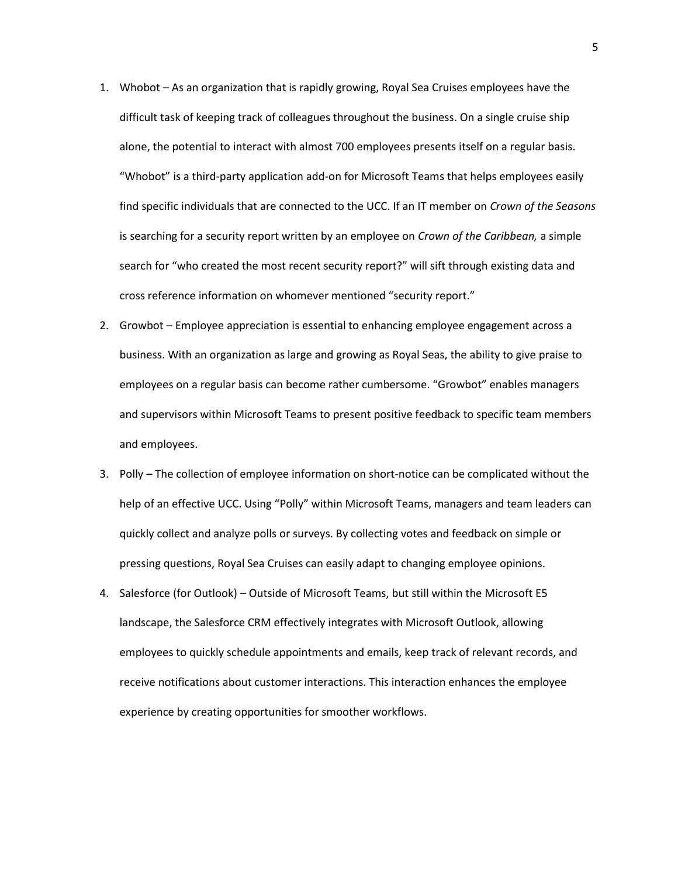- 1. Whobot As an organization that is rapidly growing, Royal Sea Cruises employees have the difficult task of keeping track of colleagues throughout the business. On a single cruise ship alone, the potential to interact with almost 700 employees presents itself on a regular basis. "Whobot" is a third-party application add-on for Microsoft Teams that helps employees easily find specific individuals that are connected to the UCC. If an IT member on *Crown of the Seasons* is searching for a security report written by an employee on *Crown of the Caribbean,* a simple search for "who created the most recent security report?" will sift through existing data and cross reference information on whomever mentioned "security report."
- 2. Growbot Employee appreciation is essential to enhancing employee engagement across a business. With an organization as large and growing as Royal Seas, the ability to give praise to employees on a regular basis can become rather cumbersome. "Growbot" enables managers and supervisors within Microsoft Teams to present positive feedback to specific team members and employees.
- 3. Polly The collection of employee information on short-notice can be complicated without the help of an effective UCC. Using "Polly" within Microsoft Teams, managers and team leaders can quickly collect and analyze polls or surveys. By collecting votes and feedback on simple or pressing questions, Royal Sea Cruises can easily adapt to changing employee opinions.
- 4. Salesforce (for Outlook) Outside of Microsoft Teams, but still within the Microsoft E5 landscape, the Salesforce CRM effectively integrates with Microsoft Outlook, allowing employees to quickly schedule appointments and emails, keep track of relevant records, and receive notifications about customer interactions. This interaction enhances the employee experience by creating opportunities for smoother workflows.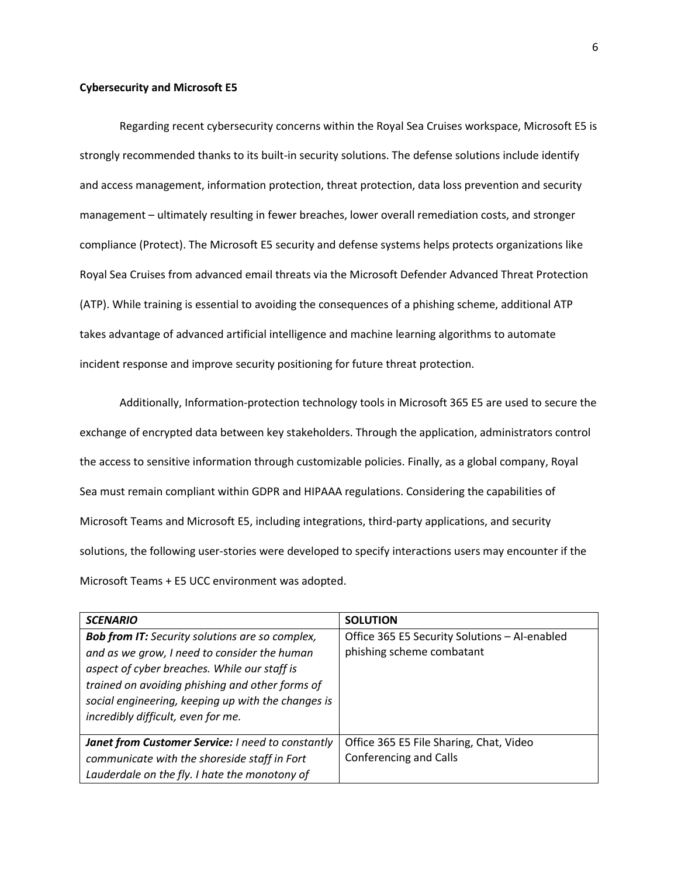#### **Cybersecurity and Microsoft E5**

Regarding recent cybersecurity concerns within the Royal Sea Cruises workspace, Microsoft E5 is strongly recommended thanks to its built-in security solutions. The defense solutions include identify and access management, information protection, threat protection, data loss prevention and security management – ultimately resulting in fewer breaches, lower overall remediation costs, and stronger compliance (Protect). The Microsoft E5 security and defense systems helps protects organizations like Royal Sea Cruises from advanced email threats via the Microsoft Defender Advanced Threat Protection (ATP). While training is essential to avoiding the consequences of a phishing scheme, additional ATP takes advantage of advanced artificial intelligence and machine learning algorithms to automate incident response and improve security positioning for future threat protection.

Additionally, Information-protection technology tools in Microsoft 365 E5 are used to secure the exchange of encrypted data between key stakeholders. Through the application, administrators control the access to sensitive information through customizable policies. Finally, as a global company, Royal Sea must remain compliant within GDPR and HIPAAA regulations. Considering the capabilities of Microsoft Teams and Microsoft E5, including integrations, third-party applications, and security solutions, the following user-stories were developed to specify interactions users may encounter if the Microsoft Teams + E5 UCC environment was adopted.

| <b>SCENARIO</b>                                                                                                                                                                                                                                                                                       | <b>SOLUTION</b>                                                            |
|-------------------------------------------------------------------------------------------------------------------------------------------------------------------------------------------------------------------------------------------------------------------------------------------------------|----------------------------------------------------------------------------|
| <b>Bob from IT:</b> Security solutions are so complex,<br>and as we grow, I need to consider the human<br>aspect of cyber breaches. While our staff is<br>trained on avoiding phishing and other forms of<br>social engineering, keeping up with the changes is<br>incredibly difficult, even for me. | Office 365 E5 Security Solutions - AI-enabled<br>phishing scheme combatant |
| Janet from Customer Service: I need to constantly<br>communicate with the shoreside staff in Fort<br>Lauderdale on the fly. I hate the monotony of                                                                                                                                                    | Office 365 E5 File Sharing, Chat, Video<br>Conferencing and Calls          |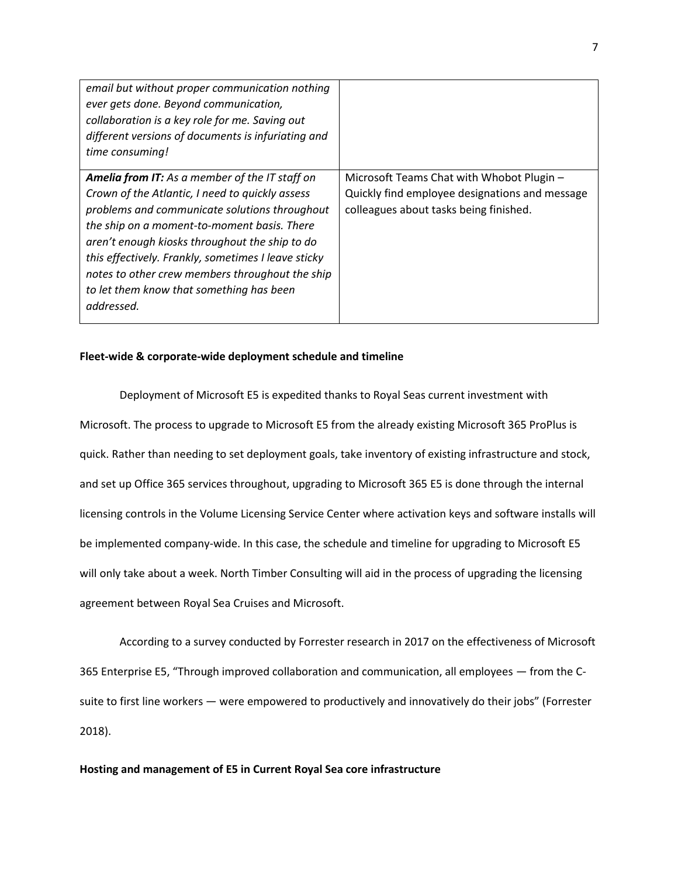| email but without proper communication nothing<br>ever gets done. Beyond communication,<br>collaboration is a key role for me. Saving out<br>different versions of documents is infuriating and<br>time consuming!                                                                                                                                                                                                             |                                                                                                                                       |
|--------------------------------------------------------------------------------------------------------------------------------------------------------------------------------------------------------------------------------------------------------------------------------------------------------------------------------------------------------------------------------------------------------------------------------|---------------------------------------------------------------------------------------------------------------------------------------|
| <b>Amelia from IT:</b> As a member of the IT staff on<br>Crown of the Atlantic, I need to quickly assess<br>problems and communicate solutions throughout<br>the ship on a moment-to-moment basis. There<br>aren't enough kiosks throughout the ship to do<br>this effectively. Frankly, sometimes I leave sticky<br>notes to other crew members throughout the ship<br>to let them know that something has been<br>addressed. | Microsoft Teams Chat with Whobot Plugin -<br>Quickly find employee designations and message<br>colleagues about tasks being finished. |

# **Fleet-wide & corporate-wide deployment schedule and timeline**

Deployment of Microsoft E5 is expedited thanks to Royal Seas current investment with Microsoft. The process to upgrade to Microsoft E5 from the already existing Microsoft 365 ProPlus is quick. Rather than needing to set deployment goals, take inventory of existing infrastructure and stock, and set up Office 365 services throughout, upgrading to Microsoft 365 E5 is done through the internal licensing controls in the Volume Licensing Service Center where activation keys and software installs will be implemented company-wide. In this case, the schedule and timeline for upgrading to Microsoft E5 will only take about a week. North Timber Consulting will aid in the process of upgrading the licensing agreement between Royal Sea Cruises and Microsoft.

According to a survey conducted by Forrester research in 2017 on the effectiveness of Microsoft 365 Enterprise E5, "Through improved collaboration and communication, all employees — from the Csuite to first line workers — were empowered to productively and innovatively do their jobs" (Forrester 2018).

# **Hosting and management of E5 in Current Royal Sea core infrastructure**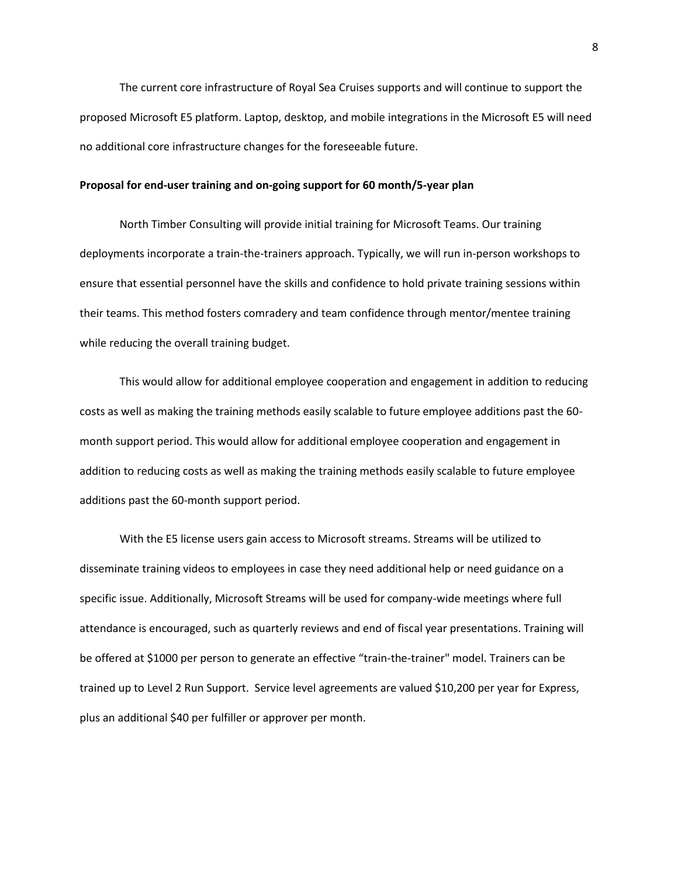The current core infrastructure of Royal Sea Cruises supports and will continue to support the proposed Microsoft E5 platform. Laptop, desktop, and mobile integrations in the Microsoft E5 will need no additional core infrastructure changes for the foreseeable future.

# **Proposal for end-user training and on-going support for 60 month/5-year plan**

North Timber Consulting will provide initial training for Microsoft Teams. Our training deployments incorporate a train-the-trainers approach. Typically, we will run in-person workshops to ensure that essential personnel have the skills and confidence to hold private training sessions within their teams. This method fosters comradery and team confidence through mentor/mentee training while reducing the overall training budget.

This would allow for additional employee cooperation and engagement in addition to reducing costs as well as making the training methods easily scalable to future employee additions past the 60 month support period. This would allow for additional employee cooperation and engagement in addition to reducing costs as well as making the training methods easily scalable to future employee additions past the 60-month support period.

With the E5 license users gain access to Microsoft streams. Streams will be utilized to disseminate training videos to employees in case they need additional help or need guidance on a specific issue. Additionally, Microsoft Streams will be used for company-wide meetings where full attendance is encouraged, such as quarterly reviews and end of fiscal year presentations. Training will be offered at \$1000 per person to generate an effective "train-the-trainer" model. Trainers can be trained up to Level 2 Run Support. Service level agreements are valued \$10,200 per year for Express, plus an additional \$40 per fulfiller or approver per month.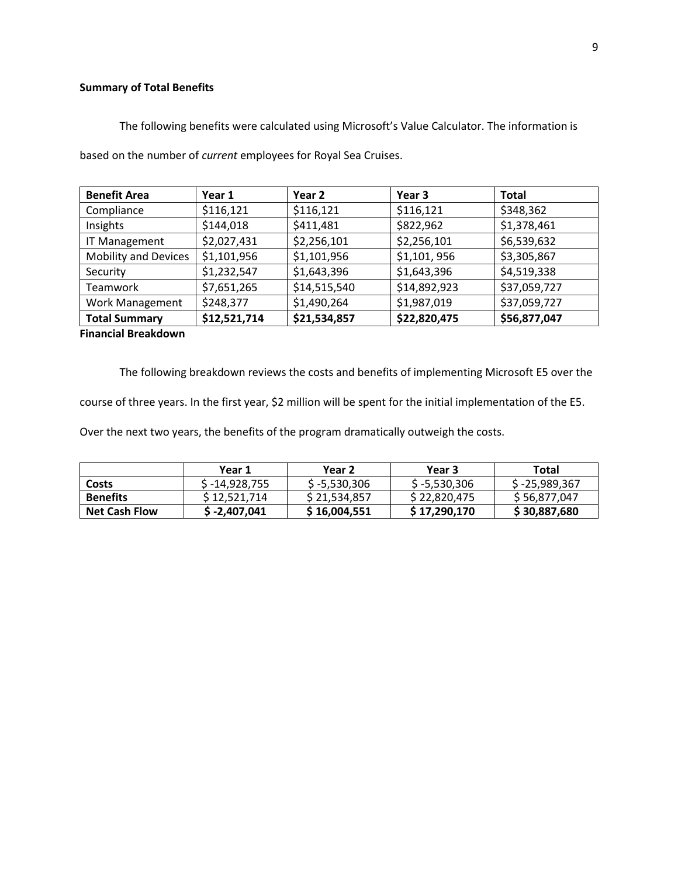# **Summary of Total Benefits**

The following benefits were calculated using Microsoft's Value Calculator. The information is

| <b>Benefit Area</b>         | Year 1       | Year 2       | Year 3       | <b>Total</b> |  |  |
|-----------------------------|--------------|--------------|--------------|--------------|--|--|
| Compliance                  | \$116,121    | \$116,121    | \$116,121    | \$348,362    |  |  |
| Insights                    | \$144,018    | \$411,481    | \$822,962    | \$1,378,461  |  |  |
| <b>IT Management</b>        | \$2,027,431  | \$2,256,101  | \$2,256,101  | \$6,539,632  |  |  |
| <b>Mobility and Devices</b> | \$1,101,956  | \$1,101,956  | \$1,101,956  | \$3,305,867  |  |  |
| Security                    | \$1,232,547  | \$1,643,396  | \$1,643,396  | \$4,519,338  |  |  |
| Teamwork                    | \$7,651,265  | \$14,515,540 | \$14,892,923 | \$37,059,727 |  |  |
| <b>Work Management</b>      | \$248,377    | \$1,490,264  | \$1,987,019  | \$37,059,727 |  |  |
| <b>Total Summary</b>        | \$12,521,714 | \$21,534,857 | \$22,820,475 | \$56,877,047 |  |  |
| <b>Financial Breakdown</b>  |              |              |              |              |  |  |

based on the number of *current* employees for Royal Sea Cruises.

The following breakdown reviews the costs and benefits of implementing Microsoft E5 over the

course of three years. In the first year, \$2 million will be spent for the initial implementation of the E5.

Over the next two years, the benefits of the program dramatically outweigh the costs.

|                      | Year 1         | Year 2         | Year 3         | Total           |
|----------------------|----------------|----------------|----------------|-----------------|
| Costs                | \$ -14,928,755 | $$ -5,530,306$ | $$ -5,530,306$ | $$ -25,989,367$ |
| <b>Benefits</b>      | \$12.521.714   | \$21.534.857   | \$22,820,475   | \$56,877,047    |
| <b>Net Cash Flow</b> | $$ -2,407,041$ | \$16,004,551   | \$17,290,170   | \$30,887,680    |